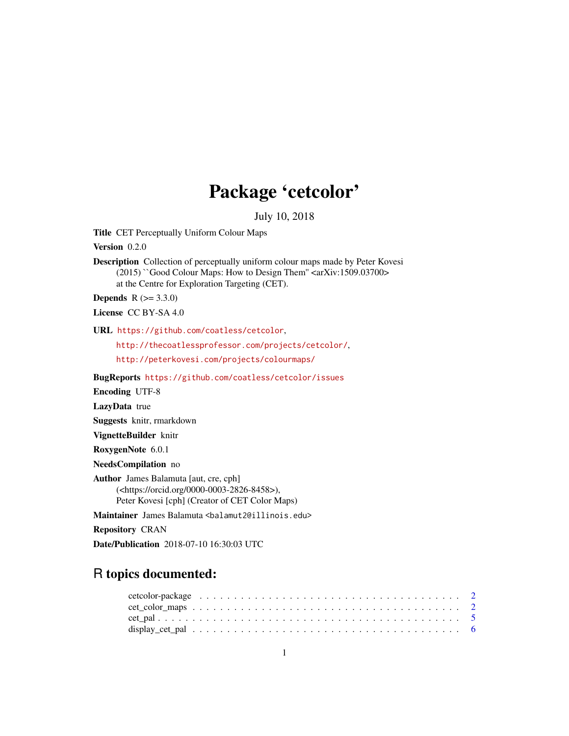## Package 'cetcolor'

July 10, 2018

Title CET Perceptually Uniform Colour Maps

Version 0.2.0

Description Collection of perceptually uniform colour maps made by Peter Kovesi (2015) ``Good Colour Maps: How to Design Them'' <arXiv:1509.03700> at the Centre for Exploration Targeting (CET).

**Depends**  $R (= 3.3.0)$ 

License CC BY-SA 4.0

URL <https://github.com/coatless/cetcolor>,

<http://thecoatlessprofessor.com/projects/cetcolor/>,

<http://peterkovesi.com/projects/colourmaps/>

BugReports <https://github.com/coatless/cetcolor/issues>

Encoding UTF-8

LazyData true

Suggests knitr, rmarkdown

VignetteBuilder knitr

RoxygenNote 6.0.1

NeedsCompilation no

Author James Balamuta [aut, cre, cph] (<https://orcid.org/0000-0003-2826-8458>), Peter Kovesi [cph] (Creator of CET Color Maps)

Maintainer James Balamuta <br/>balamut2@illinois.edu>

Repository CRAN

Date/Publication 2018-07-10 16:30:03 UTC

### R topics documented:

| $cet\_color\_maps \ldots \ldots \ldots \ldots \ldots \ldots \ldots \ldots \ldots \ldots \ldots \ldots \ldots 2$ |  |  |  |  |  |  |  |  |  |  |  |  |  |  |  |  |  |  |  |  |
|-----------------------------------------------------------------------------------------------------------------|--|--|--|--|--|--|--|--|--|--|--|--|--|--|--|--|--|--|--|--|
|                                                                                                                 |  |  |  |  |  |  |  |  |  |  |  |  |  |  |  |  |  |  |  |  |
|                                                                                                                 |  |  |  |  |  |  |  |  |  |  |  |  |  |  |  |  |  |  |  |  |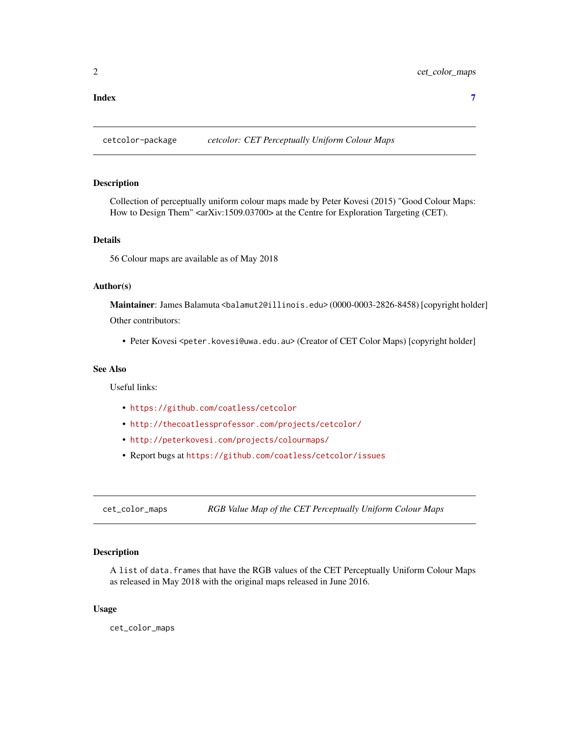#### <span id="page-1-0"></span>**Index** [7](#page-6-0) **7**

cetcolor-package *cetcolor: CET Perceptually Uniform Colour Maps*

#### Description

Collection of perceptually uniform colour maps made by Peter Kovesi (2015) "Good Colour Maps: How to Design Them" <arXiv:1509.03700> at the Centre for Exploration Targeting (CET).

#### Details

56 Colour maps are available as of May 2018

#### Author(s)

Maintainer: James Balamuta <balamut2@illinois.edu> (0000-0003-2826-8458) [copyright holder] Other contributors:

• Peter Kovesi <peter.kovesi@uwa.edu.au> (Creator of CET Color Maps) [copyright holder]

#### See Also

Useful links:

- <https://github.com/coatless/cetcolor>
- <http://thecoatlessprofessor.com/projects/cetcolor/>
- <http://peterkovesi.com/projects/colourmaps/>
- Report bugs at <https://github.com/coatless/cetcolor/issues>

<span id="page-1-1"></span>cet\_color\_maps *RGB Value Map of the CET Perceptually Uniform Colour Maps*

#### Description

A list of data.frames that have the RGB values of the CET Perceptually Uniform Colour Maps as released in May 2018 with the original maps released in June 2016.

#### Usage

cet\_color\_maps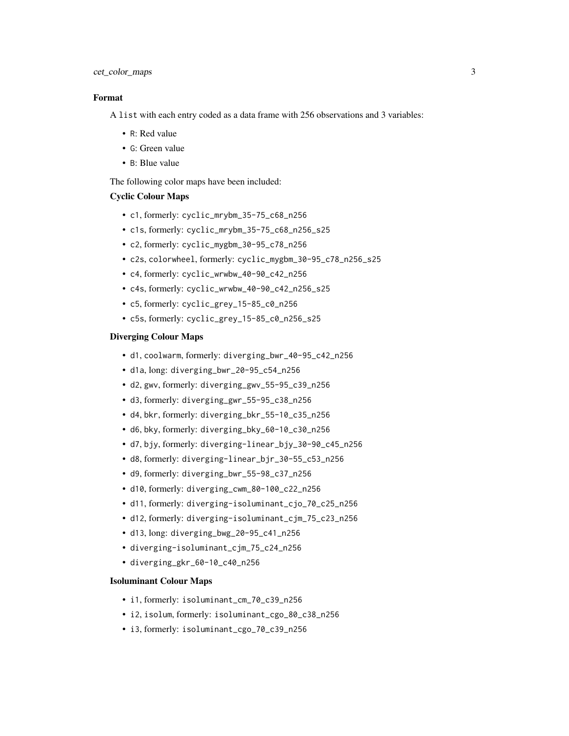#### cet\_color\_maps 3

#### Format

A list with each entry coded as a data frame with 256 observations and 3 variables:

- R: Red value
- G: Green value
- B: Blue value

The following color maps have been included:

#### Cyclic Colour Maps

- c1, formerly: cyclic\_mrybm\_35-75\_c68\_n256
- c1s, formerly: cyclic\_mrybm\_35-75\_c68\_n256\_s25
- c2, formerly: cyclic\_mygbm\_30-95\_c78\_n256
- c2s, colorwheel, formerly: cyclic\_mygbm\_30-95\_c78\_n256\_s25
- c4, formerly: cyclic\_wrwbw\_40-90\_c42\_n256
- c4s, formerly: cyclic\_wrwbw\_40-90\_c42\_n256\_s25
- c5, formerly: cyclic\_grey\_15-85\_c0\_n256
- c5s, formerly: cyclic\_grey\_15-85\_c0\_n256\_s25

#### Diverging Colour Maps

- d1, coolwarm, formerly: diverging\_bwr\_40-95\_c42\_n256
- d1a, long: diverging\_bwr\_20-95\_c54\_n256
- d2, gwv, formerly: diverging\_gwv\_55-95\_c39\_n256
- d3, formerly: diverging\_gwr\_55-95\_c38\_n256
- d4, bkr, formerly: diverging\_bkr\_55-10\_c35\_n256
- d6, bky, formerly: diverging\_bky\_60-10\_c30\_n256
- d7, bjy, formerly: diverging-linear\_bjy\_30-90\_c45\_n256
- d8, formerly: diverging-linear\_bjr\_30-55\_c53\_n256
- d9, formerly: diverging\_bwr\_55-98\_c37\_n256
- d10, formerly: diverging\_cwm\_80-100\_c22\_n256
- d11, formerly: diverging-isoluminant\_cjo\_70\_c25\_n256
- d12, formerly: diverging-isoluminant\_cjm\_75\_c23\_n256
- d13, long: diverging\_bwg\_20-95\_c41\_n256
- diverging-isoluminant\_cjm\_75\_c24\_n256
- diverging\_gkr\_60-10\_c40\_n256

#### Isoluminant Colour Maps

- i1, formerly: isoluminant\_cm\_70\_c39\_n256
- i2, isolum, formerly: isoluminant\_cgo\_80\_c38\_n256
- i3, formerly: isoluminant\_cgo\_70\_c39\_n256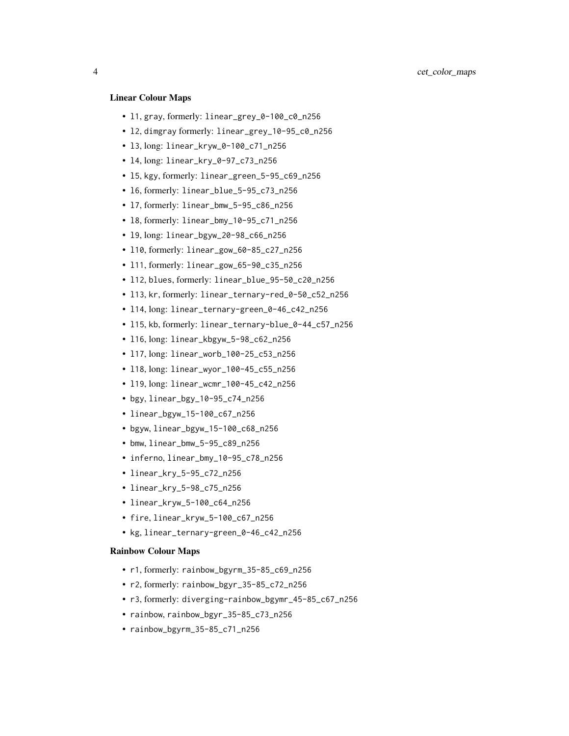#### Linear Colour Maps

- l1, gray, formerly: linear\_grey\_0-100\_c0\_n256
- l2, dimgray formerly: linear\_grey\_10-95\_c0\_n256
- l3, long: linear\_kryw\_0-100\_c71\_n256
- l4, long: linear\_kry\_0-97\_c73\_n256
- l5, kgy, formerly: linear\_green\_5-95\_c69\_n256
- l6, formerly: linear\_blue\_5-95\_c73\_n256
- l7, formerly: linear\_bmw\_5-95\_c86\_n256
- l8, formerly: linear\_bmy\_10-95\_c71\_n256
- l9, long: linear\_bgyw\_20-98\_c66\_n256
- l10, formerly: linear\_gow\_60-85\_c27\_n256
- l11, formerly: linear\_gow\_65-90\_c35\_n256
- l12, blues, formerly: linear\_blue\_95-50\_c20\_n256
- l13, kr, formerly: linear\_ternary-red\_0-50\_c52\_n256
- l14, long: linear\_ternary-green\_0-46\_c42\_n256
- l15, kb, formerly: linear\_ternary-blue\_0-44\_c57\_n256
- l16, long: linear\_kbgyw\_5-98\_c62\_n256
- l17, long: linear\_worb\_100-25\_c53\_n256
- l18, long: linear\_wyor\_100-45\_c55\_n256
- l19, long: linear\_wcmr\_100-45\_c42\_n256
- bgy, linear\_bgy\_10-95\_c74\_n256
- linear\_bgyw\_15-100\_c67\_n256
- bgyw, linear\_bgyw\_15-100\_c68\_n256
- bmw, linear\_bmw\_5-95\_c89\_n256
- inferno, linear\_bmy\_10-95\_c78\_n256
- linear\_kry\_5-95\_c72\_n256
- linear\_kry\_5-98\_c75\_n256
- linear\_kryw\_5-100\_c64\_n256
- fire, linear\_kryw\_5-100\_c67\_n256
- kg, linear\_ternary-green\_0-46\_c42\_n256

#### Rainbow Colour Maps

- r1, formerly: rainbow\_bgyrm\_35-85\_c69\_n256
- r2, formerly: rainbow\_bgyr\_35-85\_c72\_n256
- r3, formerly: diverging-rainbow\_bgymr\_45-85\_c67\_n256
- rainbow, rainbow\_bgyr\_35-85\_c73\_n256
- rainbow\_bgyrm\_35-85\_c71\_n256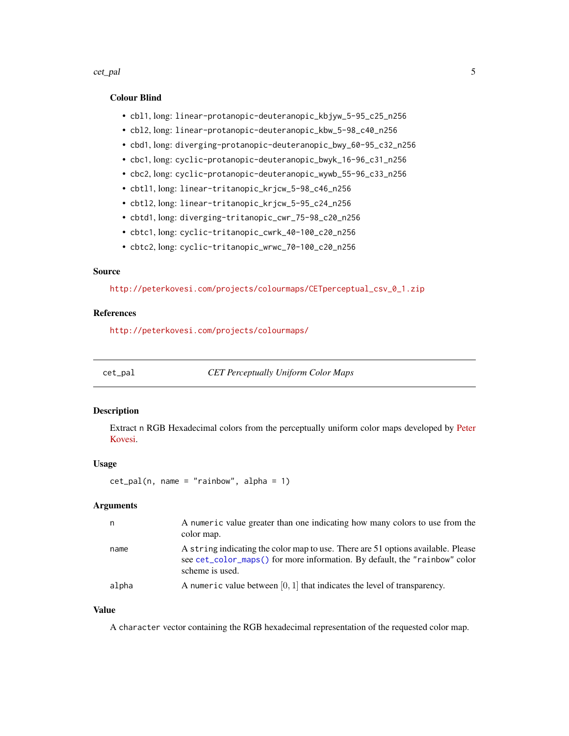#### <span id="page-4-0"></span>cet\_pal 5

#### Colour Blind

- cbl1, long: linear-protanopic-deuteranopic\_kbjyw\_5-95\_c25\_n256
- cbl2, long: linear-protanopic-deuteranopic\_kbw\_5-98\_c40\_n256
- cbd1, long: diverging-protanopic-deuteranopic\_bwy\_60-95\_c32\_n256
- cbc1, long: cyclic-protanopic-deuteranopic\_bwyk\_16-96\_c31\_n256
- cbc2, long: cyclic-protanopic-deuteranopic\_wywb\_55-96\_c33\_n256
- cbtl1, long: linear-tritanopic\_krjcw\_5-98\_c46\_n256
- cbtl2, long: linear-tritanopic\_krjcw\_5-95\_c24\_n256
- cbtd1, long: diverging-tritanopic\_cwr\_75-98\_c20\_n256
- cbtc1, long: cyclic-tritanopic\_cwrk\_40-100\_c20\_n256
- cbtc2, long: cyclic-tritanopic\_wrwc\_70-100\_c20\_n256

#### Source

[http://peterkovesi.com/projects/colourmaps/CETperceptual\\_csv\\_0\\_1.zip](http://peterkovesi.com/projects/colourmaps/CETperceptual_csv_0_1.zip)

#### References

<http://peterkovesi.com/projects/colourmaps/>

cet\_pal *CET Perceptually Uniform Color Maps*

#### Description

Extract n RGB Hexadecimal colors from the perceptually uniform color maps developed by [Peter](http://peterkovesi.com/projects/colourmaps/) [Kovesi.](http://peterkovesi.com/projects/colourmaps/)

#### Usage

 $cet\_pal(n, name = "rainbow", alpha = 1)$ 

#### Arguments

|       | A numeric value greater than one indicating how many colors to use from the<br>color map.                                                                                         |
|-------|-----------------------------------------------------------------------------------------------------------------------------------------------------------------------------------|
| name  | A string indicating the color map to use. There are 51 options available. Please<br>see cet_color_maps() for more information. By default, the "rainbow" color<br>scheme is used. |
| alpha | A numeric value between $[0, 1]$ that indicates the level of transparency.                                                                                                        |

#### Value

A character vector containing the RGB hexadecimal representation of the requested color map.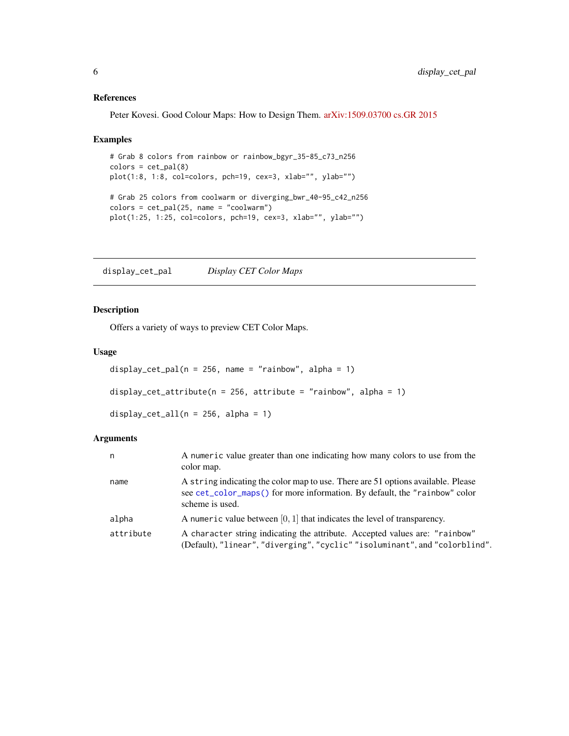#### <span id="page-5-0"></span>References

Peter Kovesi. Good Colour Maps: How to Design Them. [arXiv:1509.03700 cs.GR 2015](https://arxiv.org/abs/1509.03700)

#### Examples

```
# Grab 8 colors from rainbow or rainbow_bgyr_35-85_c73_n256
colors = cet\_pal(8)plot(1:8, 1:8, col=colors, pch=19, cex=3, xlab="", ylab="")
# Grab 25 colors from coolwarm or diverging_bwr_40-95_c42_n256
colors = cet\_pal(25, name = "coolwarm")plot(1:25, 1:25, col=colors, pch=19, cex=3, xlab="", ylab="")
```
display\_cet\_pal *Display CET Color Maps*

#### Description

Offers a variety of ways to preview CET Color Maps.

#### Usage

```
display_cet_pal(n = 256, name = "rainbow", alpha = 1)
display_cet_attribute(n = 256, attribute = "rainbow", alpha = 1)
display_cet_all(n = 256, alpha = 1)
```
#### Arguments

| n         | A numeric value greater than one indicating how many colors to use from the<br>color map.                                                                                         |
|-----------|-----------------------------------------------------------------------------------------------------------------------------------------------------------------------------------|
| name      | A string indicating the color map to use. There are 51 options available. Please<br>see cet_color_maps() for more information. By default, the "rainbow" color<br>scheme is used. |
| alpha     | A numeric value between $[0, 1]$ that indicates the level of transparency.                                                                                                        |
| attribute | A character string indicating the attribute. Accepted values are: "rainbow"<br>(Default), "linear", "diverging", "cyclic" "isoluminant", and "colorblind".                        |